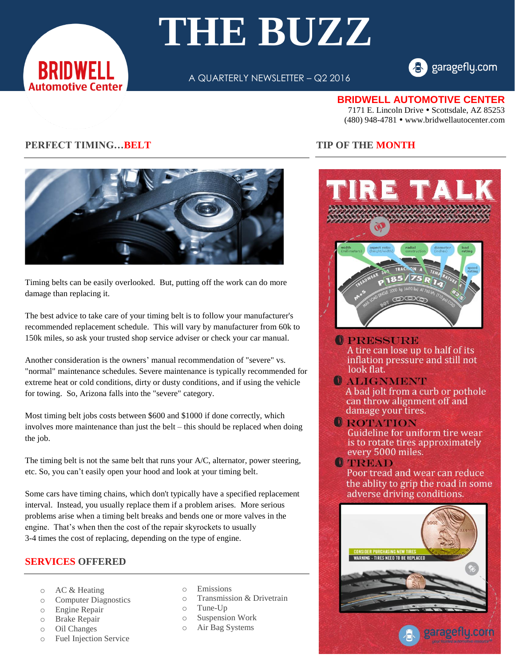

# **THE BUZZ**

A QUARTERLY NEWSLETTER – Q2 2016



## **BRIDWELL AUTOMOTIVE CENTER**

7171 E. Lincoln Drive • Scottsdale, AZ 85253 (480) 948-4781 www.bridwellautocenter.com

# **PERFECT TIMING…BELT**



Timing belts can be easily overlooked. But, putting off the work can do more damage than replacing it.

The best advice to take care of your timing belt is to follow your manufacturer's recommended replacement schedule. This will vary by manufacturer from 60k to 150k miles, so ask your trusted shop service adviser or check your car manual.

Another consideration is the owners' manual recommendation of "severe" vs. "normal" maintenance schedules. Severe maintenance is typically recommended for extreme heat or cold conditions, dirty or dusty conditions, and if using the vehicle for towing. So, Arizona falls into the "severe" category.

Most timing belt jobs costs between \$600 and \$1000 if done correctly, which involves more maintenance than just the belt – this should be replaced when doing the job.

The timing belt is not the same belt that runs your A/C, alternator, power steering, etc. So, you can't easily open your hood and look at your timing belt.

Some cars have timing chains, which don't typically have a specified replacement interval. Instead, you usually replace them if a problem arises. More serious problems arise when a timing belt breaks and bends one or more valves in the engine. That's when then the cost of the repair skyrockets to usually 3-4 times the cost of replacing, depending on the type of engine.

# **SERVICES OFFERED**

- o AC & Heating
- o Computer Diagnostics
- o Engine Repair
- o Brake Repair
- o Oil Changes
- o Fuel Injection Service
- o Emissions
- o Transmission & Drivetrain
- o Tune-Up
- o Suspension Work
- o Air Bag Systems

## **TIP OF THE MONTH**



**OPRESSURE** A tire can lose up to half of its inflation pressure and still not look flat.

**O ALIGNMENT** A bad jolt from a curb or pothole can throw alignment off and damage your tires.

**O**ROTATION Guideline for uniform tire wear is to rotate tires approximately every 5000 miles.

**OTREAD** Poor tread and wear can reduce the ablity to grip the road in some adverse driving conditions.